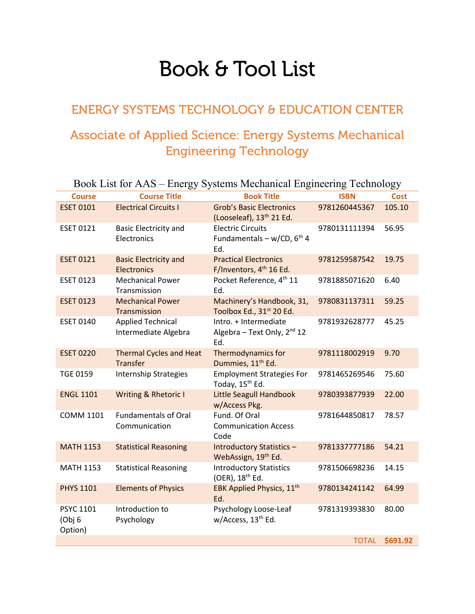## Book & Tool List

## ENERGY SYSTEMS TECHNOLOGY & EDUCATION CENTER

## Associate of Applied Science: Energy Systems Mechanical Engineering Technology

| Book List for AAS - Energy Systems Mechanical Engineering Technology |                                                    |                                                                         |               |             |  |
|----------------------------------------------------------------------|----------------------------------------------------|-------------------------------------------------------------------------|---------------|-------------|--|
| <b>Course</b>                                                        | <b>Course Title</b>                                | <b>Book Title</b>                                                       | <b>ISBN</b>   | <b>Cost</b> |  |
| <b>ESET 0101</b>                                                     | <b>Electrical Circuits I</b>                       | <b>Grob's Basic Electronics</b><br>(Looseleaf), 13 <sup>th</sup> 21 Ed. | 9781260445367 | 105.10      |  |
| <b>ESET 0121</b>                                                     | <b>Basic Electricity and</b><br>Electronics        | <b>Electric Circuits</b><br>Fundamentals - w/CD, $6th$ 4<br>Ed.         | 9780131111394 | 56.95       |  |
| <b>ESET 0121</b>                                                     | <b>Basic Electricity and</b><br><b>Electronics</b> | <b>Practical Electronics</b><br>F/Inventors, 4 <sup>th</sup> 16 Ed.     | 9781259587542 | 19.75       |  |
| <b>ESET 0123</b>                                                     | <b>Mechanical Power</b><br>Transmission            | Pocket Reference, 4 <sup>th</sup> 11<br>Ed.                             | 9781885071620 | 6.40        |  |
| <b>ESET 0123</b>                                                     | <b>Mechanical Power</b><br>Transmission            | Machinery's Handbook, 31,<br>Toolbox Ed., 31 <sup>st</sup> 20 Ed.       | 9780831137311 | 59.25       |  |
| <b>ESET 0140</b>                                                     | <b>Applied Technical</b><br>Intermediate Algebra   | Intro. + Intermediate<br>Algebra - Text Only, 2 <sup>nd</sup> 12<br>Ed. | 9781932628777 | 45.25       |  |
| <b>ESET 0220</b>                                                     | <b>Thermal Cycles and Heat</b><br><b>Transfer</b>  | <b>Thermodynamics for</b><br>Dummies, 11 <sup>th</sup> Ed.              | 9781118002919 | 9.70        |  |
| <b>TGE 0159</b>                                                      | <b>Internship Strategies</b>                       | <b>Employment Strategies For</b><br>Today, 15 <sup>th</sup> Ed.         | 9781465269546 | 75.60       |  |
| <b>ENGL 1101</b>                                                     | Writing & Rhetoric I                               | <b>Little Seagull Handbook</b><br>w/Access Pkg.                         | 9780393877939 | 22.00       |  |
| <b>COMM 1101</b>                                                     | <b>Fundamentals of Oral</b><br>Communication       | Fund. Of Oral<br><b>Communication Access</b><br>Code                    | 9781644850817 | 78.57       |  |
| <b>MATH 1153</b>                                                     | <b>Statistical Reasoning</b>                       | <b>Introductory Statistics -</b><br>WebAssign, 19th Ed.                 | 9781337777186 | 54.21       |  |
| <b>MATH 1153</b>                                                     | <b>Statistical Reasoning</b>                       | <b>Introductory Statistics</b><br>(OER), 18 <sup>th</sup> Ed.           | 9781506698236 | 14.15       |  |
| <b>PHYS 1101</b>                                                     | <b>Elements of Physics</b>                         | EBK Applied Physics, 11 <sup>th</sup><br>Ed.                            | 9780134241142 | 64.99       |  |
| <b>PSYC 1101</b><br>(Obj 6<br>Option)                                | Introduction to<br>Psychology                      | Psychology Loose-Leaf<br>w/Access, 13 <sup>th</sup> Ed.                 | 9781319393830 | 80.00       |  |
|                                                                      |                                                    |                                                                         | <b>TOTAL</b>  | \$691.92    |  |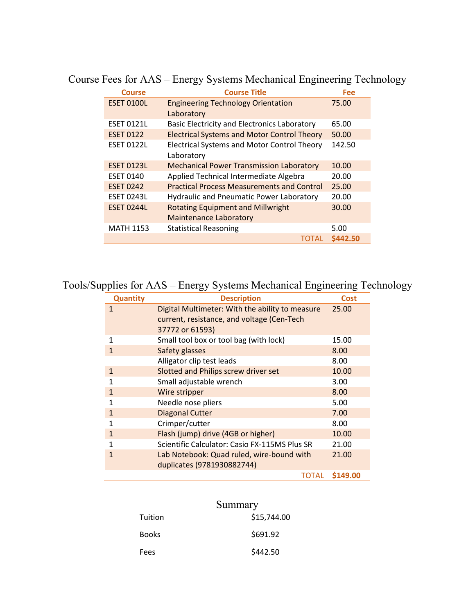| <b>Course</b>     | <b>Course Title</b>                                | Fee      |
|-------------------|----------------------------------------------------|----------|
| <b>ESET 0100L</b> | <b>Engineering Technology Orientation</b>          | 75.00    |
|                   | Laboratory                                         |          |
| <b>ESET 0121L</b> | Basic Electricity and Electronics Laboratory       | 65.00    |
| <b>ESET 0122</b>  | <b>Electrical Systems and Motor Control Theory</b> | 50.00    |
| <b>ESET 0122L</b> | <b>Electrical Systems and Motor Control Theory</b> | 142.50   |
|                   | Laboratory                                         |          |
| <b>ESET 0123L</b> | <b>Mechanical Power Transmission Laboratory</b>    | 10.00    |
| <b>ESET 0140</b>  | Applied Technical Intermediate Algebra             | 20.00    |
| <b>ESET 0242</b>  | <b>Practical Process Measurements and Control</b>  | 25.00    |
| <b>ESET 0243L</b> | <b>Hydraulic and Pneumatic Power Laboratory</b>    | 20.00    |
| <b>ESET 0244L</b> | <b>Rotating Equipment and Millwright</b>           | 30.00    |
|                   | <b>Maintenance Laboratory</b>                      |          |
| <b>MATH 1153</b>  | <b>Statistical Reasoning</b>                       | 5.00     |
|                   | <b>TOTAL</b>                                       | \$442.50 |

Course Fees for AAS – Energy Systems Mechanical Engineering Technology

## Tools/Supplies for AAS – Energy Systems Mechanical Engineering Technology

| <b>Quantity</b> | <b>Description</b>                              | <b>Cost</b> |
|-----------------|-------------------------------------------------|-------------|
| $\mathbf{1}$    | Digital Multimeter: With the ability to measure | 25.00       |
|                 | current, resistance, and voltage (Cen-Tech      |             |
|                 | 37772 or 61593)                                 |             |
| 1               | Small tool box or tool bag (with lock)          | 15.00       |
| 1               | Safety glasses                                  | 8.00        |
|                 | Alligator clip test leads                       | 8.00        |
| $\mathbf{1}$    | Slotted and Philips screw driver set            | 10.00       |
| 1               | Small adjustable wrench                         | 3.00        |
| $\mathbf{1}$    | Wire stripper                                   | 8.00        |
| 1               | Needle nose pliers                              | 5.00        |
| $\mathbf{1}$    | <b>Diagonal Cutter</b>                          | 7.00        |
| 1               | Crimper/cutter                                  | 8.00        |
| $\mathbf{1}$    | Flash (jump) drive (4GB or higher)              | 10.00       |
| 1               | Scientific Calculator: Casio FX-115MS Plus SR   | 21.00       |
| 1               | Lab Notebook: Quad ruled, wire-bound with       | 21.00       |
|                 | duplicates (9781930882744)                      |             |
|                 | TOTAL                                           | \$149.00    |

|         | Summary     |
|---------|-------------|
| Tuition | \$15,744.00 |
| Books   | \$691.92    |
| Fees    | \$442.50    |